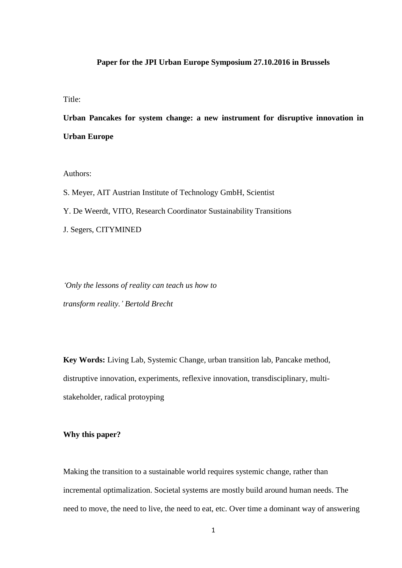# **Paper for the JPI Urban Europe Symposium 27.10.2016 in Brussels**

Title:

**Urban Pancakes for system change: a new instrument for disruptive innovation in Urban Europe**

Authors:

S. Meyer, AIT Austrian Institute of Technology GmbH, Scientist

Y. De Weerdt, VITO, Research Coordinator Sustainability Transitions

J. Segers, CITYMINED

*'Only the lessons of reality can teach us how to transform reality.' Bertold Brecht*

**Key Words:** Living Lab, Systemic Change, urban transition lab, Pancake method, distruptive innovation, experiments, reflexive innovation, transdisciplinary, multistakeholder, radical protoyping

**Why this paper?**

Making the transition to a sustainable world requires systemic change, rather than incremental optimalization. Societal systems are mostly build around human needs. The need to move, the need to live, the need to eat, etc. Over time a dominant way of answering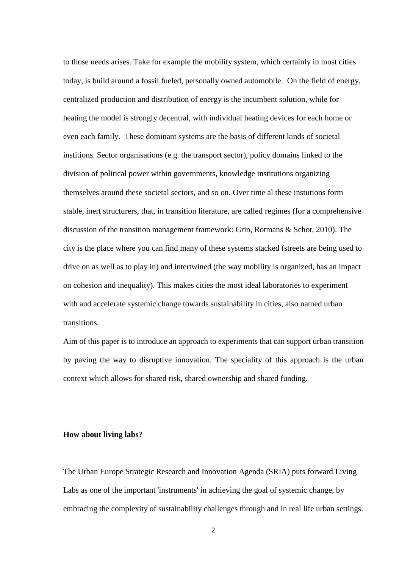to those needs arises. Take for example the mobility system, which certainly in most cities today, is build around a fossil fueled, personally owned automobile. On the field of energy, centralized production and distribution of energy is the incumbent solution, while for heating the model is strongly decentral, with individual heating devices for each home or even each family. These dominant systems are the basis of different kinds of societal institions. Sector organisations (e.g. the transport sector), policy domains linked to the division of political power within governments, knowledge institutions organizing themselves around these societal sectors, and so on. Over time al these instutions form stable, inert structurers, that, in transition literature, are called regimes (for a comprehensive discussion of the transition management framework: Grin, Rotmans & Schot, 2010). The city is the place where you can find many of these systems stacked (streets are being used to drive on as well as to play in) and intertwined (the way mobility is organized, has an impact on cohesion and inequality). This makes cities the most ideal laboratories to experiment with and accelerate systemic change towards sustainability in cities, also named urban transitions.

Aim of this paper is to introduce an approach to experiments that can support urban transition by paving the way to disruptive innovation. The speciality of this approach is the urban context which allows for shared risk, shared ownership and shared funding.

## **How about living labs?**

The Urban Europe Strategic Research and Innovation Agenda (SRIA) puts forward Living Labs as one of the important 'instruments' in achieving the goal of systemic change, by embracing the complexity of sustainability challenges through and in real life urban settings.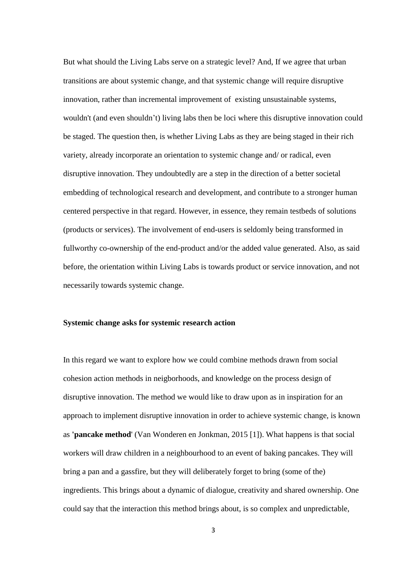But what should the Living Labs serve on a strategic level? And, If we agree that urban transitions are about systemic change, and that systemic change will require disruptive innovation, rather than incremental improvement of existing unsustainable systems, wouldn't (and even shouldn't) living labs then be loci where this disruptive innovation could be staged. The question then, is whether Living Labs as they are being staged in their rich variety, already incorporate an orientation to systemic change and/ or radical, even disruptive innovation. They undoubtedly are a step in the direction of a better societal embedding of technological research and development, and contribute to a stronger human centered perspective in that regard. However, in essence, they remain testbeds of solutions (products or services). The involvement of end-users is seldomly being transformed in fullworthy co-ownership of the end-product and/or the added value generated. Also, as said before, the orientation within Living Labs is towards product or service innovation, and not necessarily towards systemic change.

#### **Systemic change asks for systemic research action**

In this regard we want to explore how we could combine methods drawn from social cohesion action methods in neigborhoods, and knowledge on the process design of disruptive innovation. The method we would like to draw upon as in inspiration for an approach to implement disruptive innovation in order to achieve systemic change, is known as **'pancake method**' (Van Wonderen en Jonkman, 2015 [1]). What happens is that social workers will draw children in a neighbourhood to an event of baking pancakes. They will bring a pan and a gassfire, but they will deliberately forget to bring (some of the) ingredients. This brings about a dynamic of dialogue, creativity and shared ownership. One could say that the interaction this method brings about, is so complex and unpredictable,

3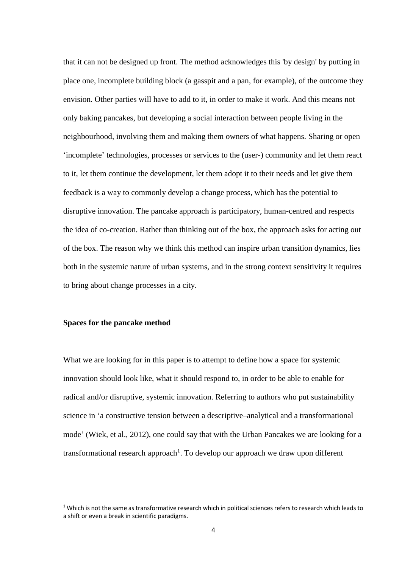that it can not be designed up front. The method acknowledges this 'by design' by putting in place one, incomplete building block (a gasspit and a pan, for example), of the outcome they envision. Other parties will have to add to it, in order to make it work. And this means not only baking pancakes, but developing a social interaction between people living in the neighbourhood, involving them and making them owners of what happens. Sharing or open 'incomplete' technologies, processes or services to the (user-) community and let them react to it, let them continue the development, let them adopt it to their needs and let give them feedback is a way to commonly develop a change process, which has the potential to disruptive innovation. The pancake approach is participatory, human-centred and respects the idea of co-creation. Rather than thinking out of the box, the approach asks for acting out of the box. The reason why we think this method can inspire urban transition dynamics, lies both in the systemic nature of urban systems, and in the strong context sensitivity it requires to bring about change processes in a city.

## **Spaces for the pancake method**

 $\ddot{\phantom{a}}$ 

What we are looking for in this paper is to attempt to define how a space for systemic innovation should look like, what it should respond to, in order to be able to enable for radical and/or disruptive, systemic innovation. Referring to authors who put sustainability science in 'a constructive tension between a descriptive–analytical and a transformational mode' (Wiek, et al., 2012), one could say that with the Urban Pancakes we are looking for a transformational research approach<sup>1</sup>. To develop our approach we draw upon different

 $1$  Which is not the same as transformative research which in political sciences refers to research which leads to a shift or even a break in scientific paradigms.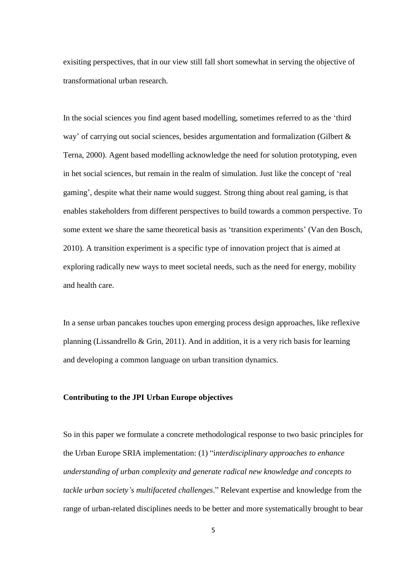exisiting perspectives, that in our view still fall short somewhat in serving the objective of transformational urban research.

In the social sciences you find agent based modelling, sometimes referred to as the 'third way' of carrying out social sciences, besides argumentation and formalization (Gilbert & Terna, 2000). Agent based modelling acknowledge the need for solution prototyping, even in het social sciences, but remain in the realm of simulation. Just like the concept of 'real gaming', despite what their name would suggest. Strong thing about real gaming, is that enables stakeholders from different perspectives to build towards a common perspective. To some extent we share the same theoretical basis as 'transition experiments' (Van den Bosch, 2010). A transition experiment is a specific type of innovation project that is aimed at exploring radically new ways to meet societal needs, such as the need for energy, mobility and health care.

In a sense urban pancakes touches upon emerging process design approaches, like reflexive planning (Lissandrello & Grin, 2011). And in addition, it is a very rich basis for learning and developing a common language on urban transition dynamics.

#### **Contributing to the JPI Urban Europe objectives**

So in this paper we formulate a concrete methodological response to two basic principles for the Urban Europe SRIA implementation: (1) "i*nterdisciplinary approaches to enhance understanding of urban complexity and generate radical new knowledge and concepts to tackle urban society's multifaceted challenges*." Relevant expertise and knowledge from the range of urban-related disciplines needs to be better and more systematically brought to bear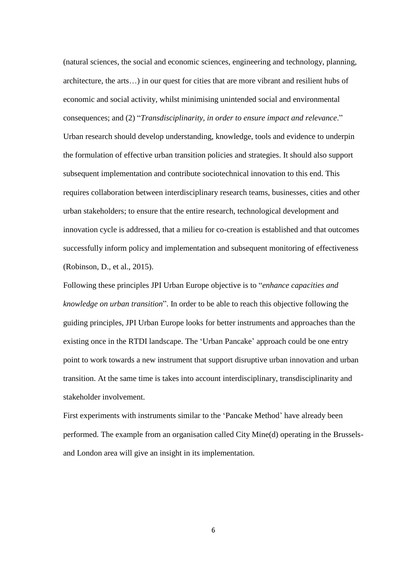(natural sciences, the social and economic sciences, engineering and technology, planning, architecture, the arts…) in our quest for cities that are more vibrant and resilient hubs of economic and social activity, whilst minimising unintended social and environmental consequences; and (2) "*Transdisciplinarity, in order to ensure impact and relevance*." Urban research should develop understanding, knowledge, tools and evidence to underpin the formulation of effective urban transition policies and strategies. It should also support subsequent implementation and contribute sociotechnical innovation to this end. This requires collaboration between interdisciplinary research teams, businesses, cities and other urban stakeholders; to ensure that the entire research, technological development and innovation cycle is addressed, that a milieu for co-creation is established and that outcomes successfully inform policy and implementation and subsequent monitoring of effectiveness (Robinson, D., et al., 2015).

Following these principles JPI Urban Europe objective is to "*enhance capacities and knowledge on urban transition*". In order to be able to reach this objective following the guiding principles, JPI Urban Europe looks for better instruments and approaches than the existing once in the RTDI landscape. The 'Urban Pancake' approach could be one entry point to work towards a new instrument that support disruptive urban innovation and urban transition. At the same time is takes into account interdisciplinary, transdisciplinarity and stakeholder involvement.

First experiments with instruments similar to the 'Pancake Method' have already been performed. The example from an organisation called City Mine(d) operating in the Brusselsand London area will give an insight in its implementation.

6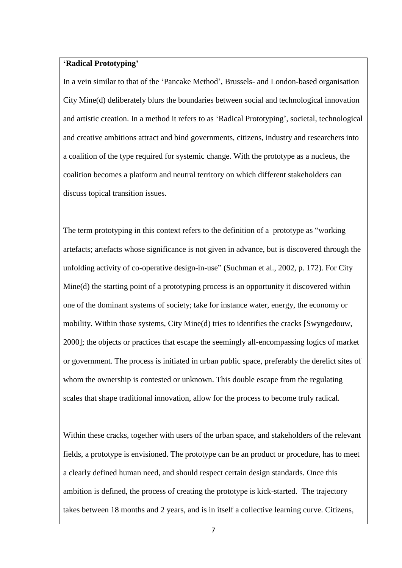## **'Radical Prototyping'**

In a vein similar to that of the 'Pancake Method', Brussels- and London-based organisation City Mine(d) deliberately blurs the boundaries between social and technological innovation and artistic creation. In a method it refers to as 'Radical Prototyping', societal, technological and creative ambitions attract and bind governments, citizens, industry and researchers into a coalition of the type required for systemic change. With the prototype as a nucleus, the coalition becomes a platform and neutral territory on which different stakeholders can discuss topical transition issues.

The term prototyping in this context refers to the definition of a prototype as "working artefacts; artefacts whose significance is not given in advance, but is discovered through the unfolding activity of co-operative design-in-use" (Suchman et al., 2002, p. 172). For City Mine(d) the starting point of a prototyping process is an opportunity it discovered within one of the dominant systems of society; take for instance water, energy, the economy or mobility. Within those systems, City Mine(d) tries to identifies the cracks [Swyngedouw, 2000]; the objects or practices that escape the seemingly all-encompassing logics of market or government. The process is initiated in urban public space, preferably the derelict sites of whom the ownership is contested or unknown. This double escape from the regulating scales that shape traditional innovation, allow for the process to become truly radical.

Within these cracks, together with users of the urban space, and stakeholders of the relevant fields, a prototype is envisioned. The prototype can be an product or procedure, has to meet a clearly defined human need, and should respect certain design standards. Once this ambition is defined, the process of creating the prototype is kick-started. The trajectory takes between 18 months and 2 years, and is in itself a collective learning curve. Citizens,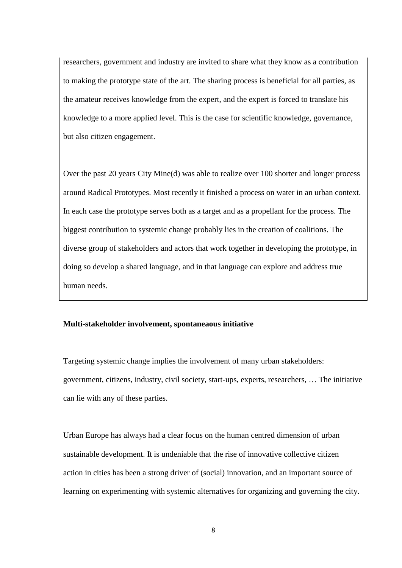researchers, government and industry are invited to share what they know as a contribution to making the prototype state of the art. The sharing process is beneficial for all parties, as the amateur receives knowledge from the expert, and the expert is forced to translate his knowledge to a more applied level. This is the case for scientific knowledge, governance, but also citizen engagement.

Over the past 20 years City Mine(d) was able to realize over 100 shorter and longer process around Radical Prototypes. Most recently it finished a process on water in an urban context. In each case the prototype serves both as a target and as a propellant for the process. The biggest contribution to systemic change probably lies in the creation of coalitions. The diverse group of stakeholders and actors that work together in developing the prototype, in doing so develop a shared language, and in that language can explore and address true human needs.

#### **Multi-stakeholder involvement, spontaneaous initiative**

Targeting systemic change implies the involvement of many urban stakeholders: government, citizens, industry, civil society, start-ups, experts, researchers, … The initiative can lie with any of these parties.

Urban Europe has always had a clear focus on the human centred dimension of urban sustainable development. It is undeniable that the rise of innovative collective citizen action in cities has been a strong driver of (social) innovation, and an important source of learning on experimenting with systemic alternatives for organizing and governing the city.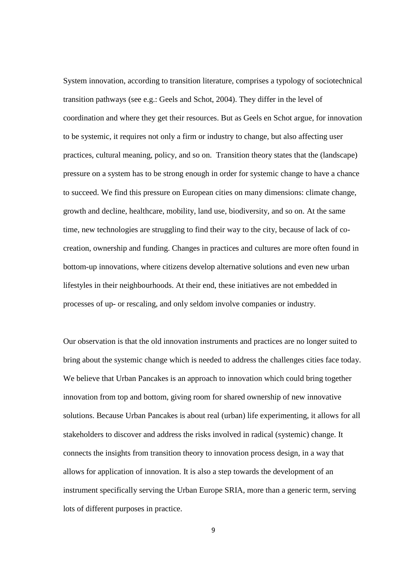System innovation, according to transition literature, comprises a typology of sociotechnical transition pathways (see e.g.: Geels and Schot, 2004). They differ in the level of coordination and where they get their resources. But as Geels en Schot argue, for innovation to be systemic, it requires not only a firm or industry to change, but also affecting user practices, cultural meaning, policy, and so on. Transition theory states that the (landscape) pressure on a system has to be strong enough in order for systemic change to have a chance to succeed. We find this pressure on European cities on many dimensions: climate change, growth and decline, healthcare, mobility, land use, biodiversity, and so on. At the same time, new technologies are struggling to find their way to the city, because of lack of cocreation, ownership and funding. Changes in practices and cultures are more often found in bottom-up innovations, where citizens develop alternative solutions and even new urban lifestyles in their neighbourhoods. At their end, these initiatives are not embedded in processes of up- or rescaling, and only seldom involve companies or industry.

Our observation is that the old innovation instruments and practices are no longer suited to bring about the systemic change which is needed to address the challenges cities face today. We believe that Urban Pancakes is an approach to innovation which could bring together innovation from top and bottom, giving room for shared ownership of new innovative solutions. Because Urban Pancakes is about real (urban) life experimenting, it allows for all stakeholders to discover and address the risks involved in radical (systemic) change. It connects the insights from transition theory to innovation process design, in a way that allows for application of innovation. It is also a step towards the development of an instrument specifically serving the Urban Europe SRIA, more than a generic term, serving lots of different purposes in practice.

9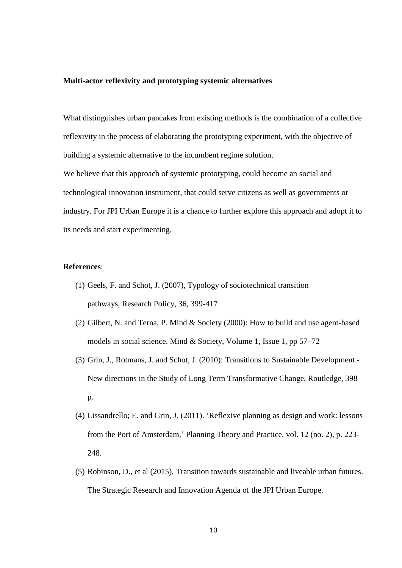#### **Multi-actor reflexivity and prototyping systemic alternatives**

What distinguishes urban pancakes from existing methods is the combination of a collective reflexivity in the process of elaborating the prototyping experiment, with the objective of building a systemic alternative to the incumbent regime solution.

We believe that this approach of systemic prototyping, could become an social and technological innovation instrument, that could serve citizens as well as governments or industry. For JPI Urban Europe it is a chance to further explore this approach and adopt it to its needs and start experimenting.

#### **References**:

- (1) Geels, F. and Schot, J. (2007), Typology of sociotechnical transition pathways, Research Policy, 36, 399-417
- (2) Gilbert, N. and Terna, P. Mind & Society (2000): How to build and use agent-based models in social science. Mind & Society, Volume 1, [Issue](http://link.springer.com/journal/11299/1/1/page/1) 1, pp 57–72
- (3) Grin, J., Rotmans, J. and Schot, J. (2010): Transitions to Sustainable Development New directions in the Study of Long Term Transformative Change, Routledge, 398 p.
- (4) Lissandrello; E. and Grin, J. (2011). 'Reflexive planning as design and work: lessons from the Port of Amsterdam,' Planning Theory and Practice, vol. 12 (no. 2), p. 223- 248.
- (5) Robinson, D., et al (2015), Transition towards sustainable and liveable urban futures. The Strategic Research and Innovation Agenda of the JPI Urban Europe.